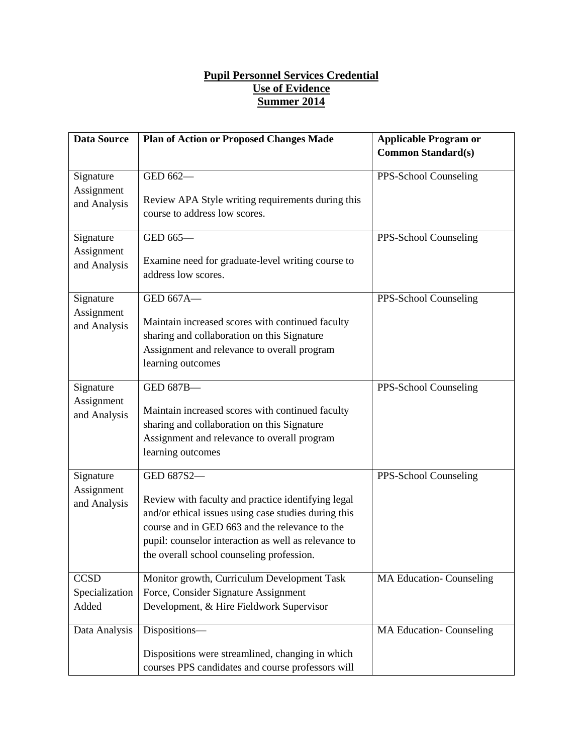## **Pupil Personnel Services Credential Use of Evidence Summer 2014**

| <b>Data Source</b>                      | <b>Plan of Action or Proposed Changes Made</b>                                                                                                                                                                                                                                  | <b>Applicable Program or</b><br><b>Common Standard(s)</b> |
|-----------------------------------------|---------------------------------------------------------------------------------------------------------------------------------------------------------------------------------------------------------------------------------------------------------------------------------|-----------------------------------------------------------|
| Signature<br>Assignment<br>and Analysis | GED 662-<br>Review APA Style writing requirements during this                                                                                                                                                                                                                   | PPS-School Counseling                                     |
| Signature<br>Assignment                 | course to address low scores.<br>GED 665-                                                                                                                                                                                                                                       | PPS-School Counseling                                     |
| and Analysis                            | Examine need for graduate-level writing course to<br>address low scores.                                                                                                                                                                                                        |                                                           |
| Signature<br>Assignment<br>and Analysis | GED 667A-<br>Maintain increased scores with continued faculty<br>sharing and collaboration on this Signature<br>Assignment and relevance to overall program<br>learning outcomes                                                                                                | PPS-School Counseling                                     |
| Signature<br>Assignment<br>and Analysis | GED 687B-<br>Maintain increased scores with continued faculty<br>sharing and collaboration on this Signature<br>Assignment and relevance to overall program<br>learning outcomes                                                                                                | PPS-School Counseling                                     |
| Signature<br>Assignment<br>and Analysis | GED 687S2-<br>Review with faculty and practice identifying legal<br>and/or ethical issues using case studies during this<br>course and in GED 663 and the relevance to the<br>pupil: counselor interaction as well as relevance to<br>the overall school counseling profession. | PPS-School Counseling                                     |
| <b>CCSD</b><br>Specialization<br>Added  | Monitor growth, Curriculum Development Task<br>Force, Consider Signature Assignment<br>Development, & Hire Fieldwork Supervisor                                                                                                                                                 | <b>MA Education-Counseling</b>                            |
| Data Analysis                           | Dispositions-<br>Dispositions were streamlined, changing in which<br>courses PPS candidates and course professors will                                                                                                                                                          | <b>MA Education-Counseling</b>                            |